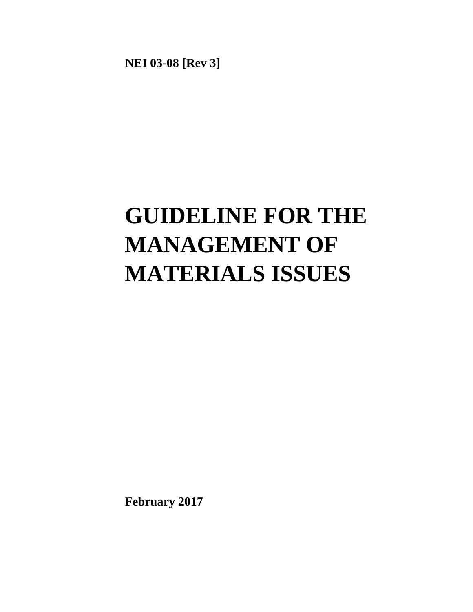**NEI 03-08 [Rev 3]** 

# **GUIDELINE FOR THE MANAGEMENT OF MATERIALS ISSUES**

**February 2017**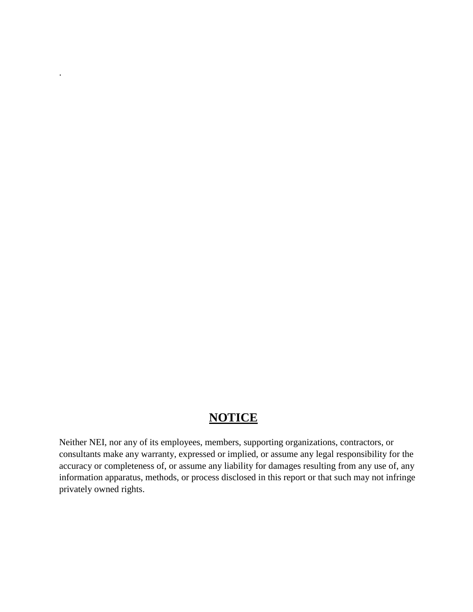# **NOTICE**

.

Neither NEI, nor any of its employees, members, supporting organizations, contractors, or consultants make any warranty, expressed or implied, or assume any legal responsibility for the accuracy or completeness of, or assume any liability for damages resulting from any use of, any information apparatus, methods, or process disclosed in this report or that such may not infringe privately owned rights.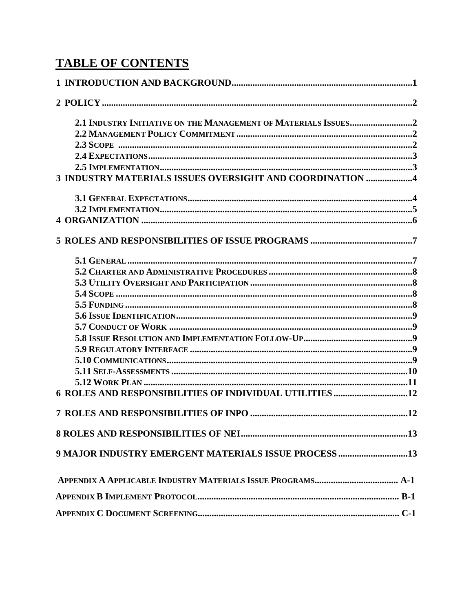# **TABLE OF CONTENTS**

| 3 INDUSTRY MATERIALS ISSUES OVERSIGHT AND COORDINATION 4 |  |
|----------------------------------------------------------|--|
|                                                          |  |
|                                                          |  |
|                                                          |  |
|                                                          |  |
|                                                          |  |
|                                                          |  |
|                                                          |  |
|                                                          |  |
|                                                          |  |
|                                                          |  |
|                                                          |  |
|                                                          |  |
|                                                          |  |
|                                                          |  |
|                                                          |  |
|                                                          |  |
|                                                          |  |
|                                                          |  |
|                                                          |  |
| 9 MAJOR INDUSTRY EMERGENT MATERIALS ISSUE PROCESS 13     |  |
|                                                          |  |
|                                                          |  |
|                                                          |  |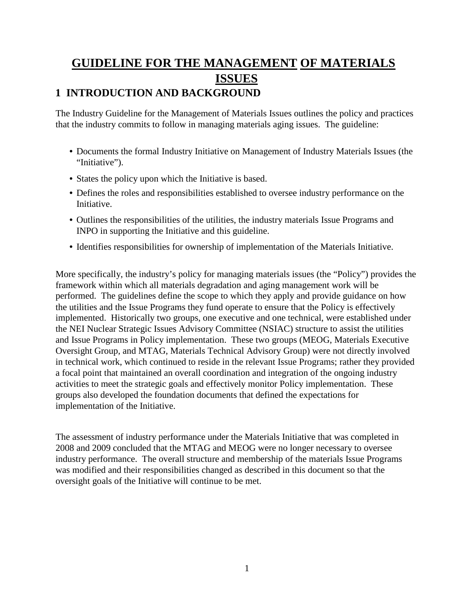# **GUIDELINE FOR THE MANAGEMENT OF MATERIALS ISSUES 1 INTRODUCTION AND BACKGROUND**

<span id="page-3-0"></span>The Industry Guideline for the Management of Materials Issues outlines the policy and practices that the industry commits to follow in managing materials aging issues. The guideline:

- Documents the formal Industry Initiative on Management of Industry Materials Issues (the "Initiative").
- States the policy upon which the Initiative is based.
- Defines the roles and responsibilities established to oversee industry performance on the Initiative.
- Outlines the responsibilities of the utilities, the industry materials Issue Programs and INPO in supporting the Initiative and this guideline.
- Identifies responsibilities for ownership of implementation of the Materials Initiative.

More specifically, the industry's policy for managing materials issues (the "Policy") provides the framework within which all materials degradation and aging management work will be performed. The guidelines define the scope to which they apply and provide guidance on how the utilities and the Issue Programs they fund operate to ensure that the Policy is effectively implemented. Historically two groups, one executive and one technical, were established under the NEI Nuclear Strategic Issues Advisory Committee (NSIAC) structure to assist the utilities and Issue Programs in Policy implementation. These two groups (MEOG, Materials Executive Oversight Group, and MTAG, Materials Technical Advisory Group) were not directly involved in technical work, which continued to reside in the relevant Issue Programs; rather they provided a focal point that maintained an overall coordination and integration of the ongoing industry activities to meet the strategic goals and effectively monitor Policy implementation. These groups also developed the foundation documents that defined the expectations for implementation of the Initiative.

The assessment of industry performance under the Materials Initiative that was completed in 2008 and 2009 concluded that the MTAG and MEOG were no longer necessary to oversee industry performance. The overall structure and membership of the materials Issue Programs was modified and their responsibilities changed as described in this document so that the oversight goals of the Initiative will continue to be met.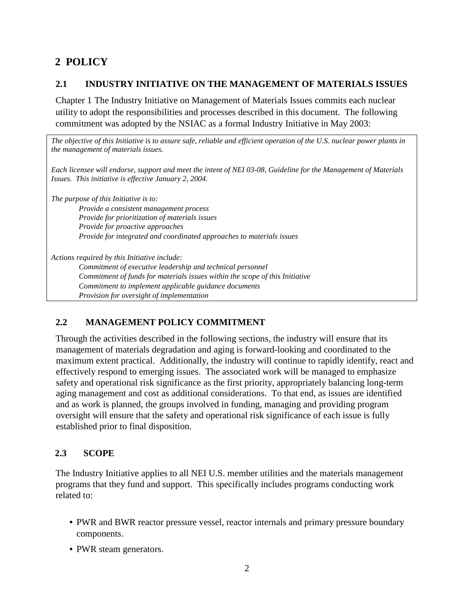## <span id="page-4-1"></span><span id="page-4-0"></span>**2 POLICY**

#### **2.1 INDUSTRY INITIATIVE ON THE MANAGEMENT OF MATERIALS ISSUES**

Chapter 1 The Industry Initiative on Management of Materials Issues commits each nuclear utility to adopt the responsibilities and processes described in this document. The following commitment was adopted by the NSIAC as a formal Industry Initiative in May 2003:

*The objective of this Initiative is to assure safe, reliable and efficient operation of the U.S. nuclear power plants in the management of materials issues.* 

*Each licensee will endorse, support and meet the intent of NEI 03-08, Guideline for the Management of Materials Issues. This initiative is effective January 2, 2004.* 

*The purpose of this Initiative is to:* 

*Provide a consistent management process Provide for prioritization of materials issues Provide for proactive approaches Provide for integrated and coordinated approaches to materials issues* 

*Actions required by this Initiative include:* 

*Commitment of executive leadership and technical personnel Commitment of funds for materials issues within the scope of this Initiative Commitment to implement applicable guidance documents Provision for oversight of implementation* 

## <span id="page-4-2"></span>**2.2 MANAGEMENT POLICY COMMITMENT**

Through the activities described in the following sections, the industry will ensure that its management of materials degradation and aging is forward-looking and coordinated to the maximum extent practical. Additionally, the industry will continue to rapidly identify, react and effectively respond to emerging issues. The associated work will be managed to emphasize safety and operational risk significance as the first priority, appropriately balancing long-term aging management and cost as additional considerations. To that end, as issues are identified and as work is planned, the groups involved in funding, managing and providing program oversight will ensure that the safety and operational risk significance of each issue is fully established prior to final disposition.

## <span id="page-4-3"></span>**2.3 SCOPE**

The Industry Initiative applies to all NEI U.S. member utilities and the materials management programs that they fund and support. This specifically includes programs conducting work related to:

- PWR and BWR reactor pressure vessel, reactor internals and primary pressure boundary components.
- PWR steam generators.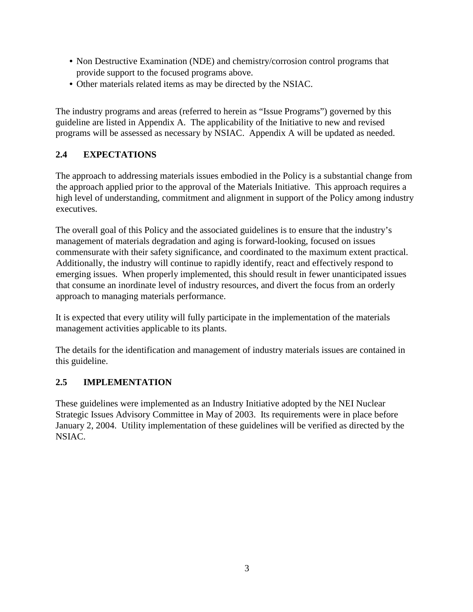- Non Destructive Examination (NDE) and chemistry/corrosion control programs that provide support to the focused programs above.
- Other materials related items as may be directed by the NSIAC.

The industry programs and areas (referred to herein as "Issue Programs") governed by this guideline are listed in Appendix A. The applicability of the Initiative to new and revised programs will be assessed as necessary by NSIAC. Appendix A will be updated as needed.

#### <span id="page-5-0"></span>**2.4 EXPECTATIONS**

The approach to addressing materials issues embodied in the Policy is a substantial change from the approach applied prior to the approval of the Materials Initiative. This approach requires a high level of understanding, commitment and alignment in support of the Policy among industry executives.

The overall goal of this Policy and the associated guidelines is to ensure that the industry's management of materials degradation and aging is forward-looking, focused on issues commensurate with their safety significance, and coordinated to the maximum extent practical. Additionally, the industry will continue to rapidly identify, react and effectively respond to emerging issues. When properly implemented, this should result in fewer unanticipated issues that consume an inordinate level of industry resources, and divert the focus from an orderly approach to managing materials performance.

It is expected that every utility will fully participate in the implementation of the materials management activities applicable to its plants.

The details for the identification and management of industry materials issues are contained in this guideline.

#### <span id="page-5-1"></span>**2.5 IMPLEMENTATION**

These guidelines were implemented as an Industry Initiative adopted by the NEI Nuclear Strategic Issues Advisory Committee in May of 2003. Its requirements were in place before January 2, 2004. Utility implementation of these guidelines will be verified as directed by the NSIAC.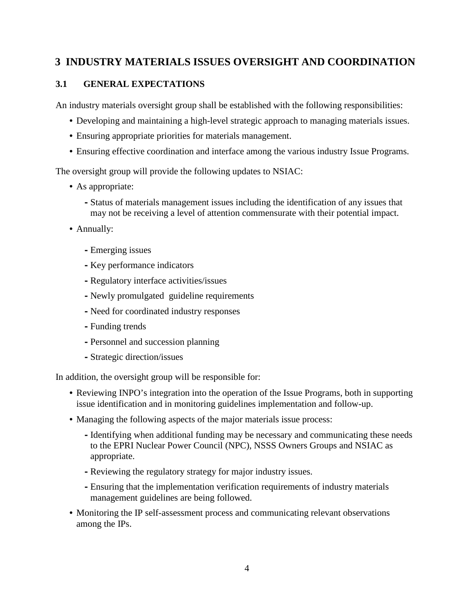## <span id="page-6-0"></span>**3 INDUSTRY MATERIALS ISSUES OVERSIGHT AND COORDINATION**

#### <span id="page-6-1"></span>**3.1 GENERAL EXPECTATIONS**

An industry materials oversight group shall be established with the following responsibilities:

- Developing and maintaining a high-level strategic approach to managing materials issues.
- Ensuring appropriate priorities for materials management.
- Ensuring effective coordination and interface among the various industry Issue Programs.

The oversight group will provide the following updates to NSIAC:

- As appropriate:
	- **-**Status of materials management issues including the identification of any issues that may not be receiving a level of attention commensurate with their potential impact.
- Annually:
	- **-**Emerging issues
	- **-** Key performance indicators
	- **-**Regulatory interface activities/issues
	- **-** Newly promulgated guideline requirements
	- **-** Need for coordinated industry responses
	- **-**Funding trends
	- **-**Personnel and succession planning
	- **-**Strategic direction/issues

In addition, the oversight group will be responsible for:

- Reviewing INPO's integration into the operation of the Issue Programs, both in supporting issue identification and in monitoring guidelines implementation and follow-up.
- Managing the following aspects of the major materials issue process:
	- **-**Identifying when additional funding may be necessary and communicating these needs to the EPRI Nuclear Power Council (NPC), NSSS Owners Groups and NSIAC as appropriate.
	- **-**Reviewing the regulatory strategy for major industry issues.
	- **-**Ensuring that the implementation verification requirements of industry materials management guidelines are being followed.
- Monitoring the IP self-assessment process and communicating relevant observations among the IPs.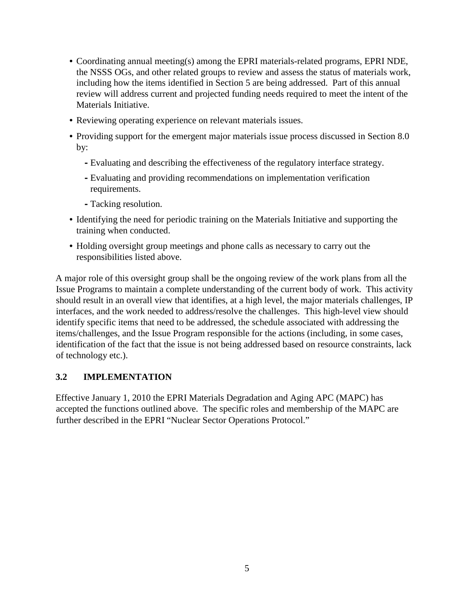- Coordinating annual meeting(s) among the EPRI materials-related programs, EPRI NDE, the NSSS OGs, and other related groups to review and assess the status of materials work, including how the items identified in Section 5 are being addressed. Part of this annual review will address current and projected funding needs required to meet the intent of the Materials Initiative.
- Reviewing operating experience on relevant materials issues.
- Providing support for the emergent major materials issue process discussed in Section 8.0 by:
	- **-**Evaluating and describing the effectiveness of the regulatory interface strategy.
	- **-**Evaluating and providing recommendations on implementation verification requirements.
	- **-**Tacking resolution.
- Identifying the need for periodic training on the Materials Initiative and supporting the training when conducted.
- Holding oversight group meetings and phone calls as necessary to carry out the responsibilities listed above.

A major role of this oversight group shall be the ongoing review of the work plans from all the Issue Programs to maintain a complete understanding of the current body of work. This activity should result in an overall view that identifies, at a high level, the major materials challenges, IP interfaces, and the work needed to address/resolve the challenges. This high-level view should identify specific items that need to be addressed, the schedule associated with addressing the items/challenges, and the Issue Program responsible for the actions (including, in some cases, identification of the fact that the issue is not being addressed based on resource constraints, lack of technology etc.).

#### <span id="page-7-0"></span>**3.2 IMPLEMENTATION**

Effective January 1, 2010 the EPRI Materials Degradation and Aging APC (MAPC) has accepted the functions outlined above. The specific roles and membership of the MAPC are further described in the EPRI "Nuclear Sector Operations Protocol."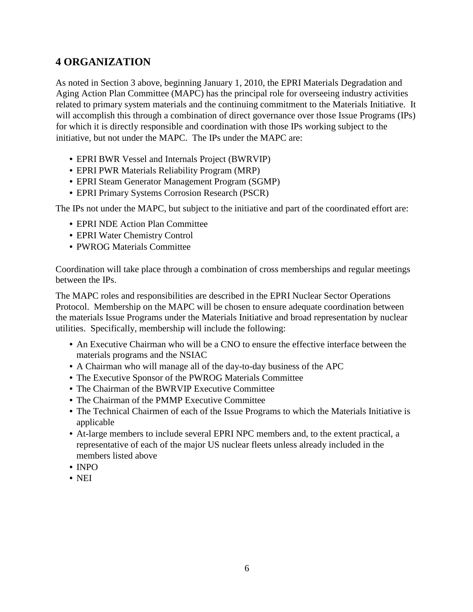## **4 ORGANIZATION**

As noted in Section 3 above, beginning January 1, 2010, the EPRI Materials Degradation and Aging Action Plan Committee (MAPC) has the principal role for overseeing industry activities related to primary system materials and the continuing commitment to the Materials Initiative. It will accomplish this through a combination of direct governance over those Issue Programs (IPs) for which it is directly responsible and coordination with those IPs working subject to the initiative, but not under the MAPC. The IPs under the MAPC are:

- EPRI BWR Vessel and Internals Project (BWRVIP)
- EPRI PWR Materials Reliability Program (MRP)
- EPRI Steam Generator Management Program (SGMP)
- EPRI Primary Systems Corrosion Research (PSCR)

The IPs not under the MAPC, but subject to the initiative and part of the coordinated effort are:

- EPRI NDE Action Plan Committee
- EPRI Water Chemistry Control
- PWROG Materials Committee

Coordination will take place through a combination of cross memberships and regular meetings between the IPs.

The MAPC roles and responsibilities are described in the EPRI Nuclear Sector Operations Protocol. Membership on the MAPC will be chosen to ensure adequate coordination between the materials Issue Programs under the Materials Initiative and broad representation by nuclear utilities. Specifically, membership will include the following:

- An Executive Chairman who will be a CNO to ensure the effective interface between the materials programs and the NSIAC
- A Chairman who will manage all of the day-to-day business of the APC
- The Executive Sponsor of the PWROG Materials Committee
- The Chairman of the BWRVIP Executive Committee
- The Chairman of the PMMP Executive Committee
- The Technical Chairmen of each of the Issue Programs to which the Materials Initiative is applicable
- At-large members to include several EPRI NPC members and, to the extent practical, a representative of each of the major US nuclear fleets unless already included in the members listed above
- INPO
- NEI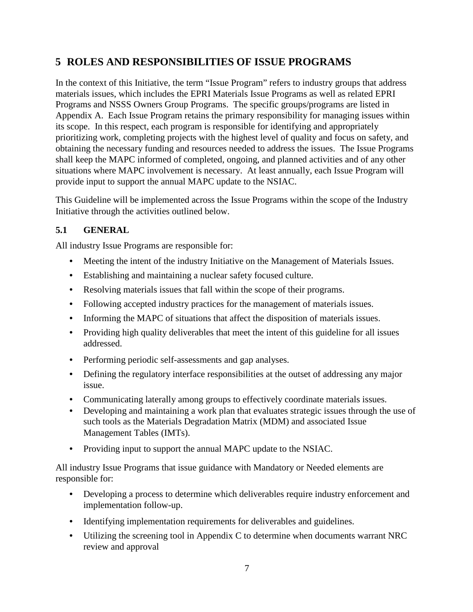## <span id="page-9-0"></span>**5 ROLES AND RESPONSIBILITIES OF ISSUE PROGRAMS**

In the context of this Initiative, the term "Issue Program" refers to industry groups that address materials issues, which includes the EPRI Materials Issue Programs as well as related EPRI Programs and NSSS Owners Group Programs. The specific groups/programs are listed in Appendix A. Each Issue Program retains the primary responsibility for managing issues within its scope. In this respect, each program is responsible for identifying and appropriately prioritizing work, completing projects with the highest level of quality and focus on safety, and obtaining the necessary funding and resources needed to address the issues. The Issue Programs shall keep the MAPC informed of completed, ongoing, and planned activities and of any other situations where MAPC involvement is necessary. At least annually, each Issue Program will provide input to support the annual MAPC update to the NSIAC.

This Guideline will be implemented across the Issue Programs within the scope of the Industry Initiative through the activities outlined below.

## <span id="page-9-1"></span>**5.1 GENERAL**

All industry Issue Programs are responsible for:

- Meeting the intent of the industry Initiative on the Management of Materials Issues.
- Establishing and maintaining a nuclear safety focused culture.
- Resolving materials issues that fall within the scope of their programs.
- Following accepted industry practices for the management of materials issues.
- Informing the MAPC of situations that affect the disposition of materials issues.
- Providing high quality deliverables that meet the intent of this guideline for all issues addressed.
- Performing periodic self-assessments and gap analyses.
- Defining the regulatory interface responsibilities at the outset of addressing any major issue.
- Communicating laterally among groups to effectively coordinate materials issues.
- Developing and maintaining a work plan that evaluates strategic issues through the use of such tools as the Materials Degradation Matrix (MDM) and associated Issue Management Tables (IMTs).
- Providing input to support the annual MAPC update to the NSIAC.

All industry Issue Programs that issue guidance with Mandatory or Needed elements are responsible for:

- Developing a process to determine which deliverables require industry enforcement and implementation follow-up.
- Identifying implementation requirements for deliverables and guidelines.
- Utilizing the screening tool in Appendix C to determine when documents warrant NRC review and approval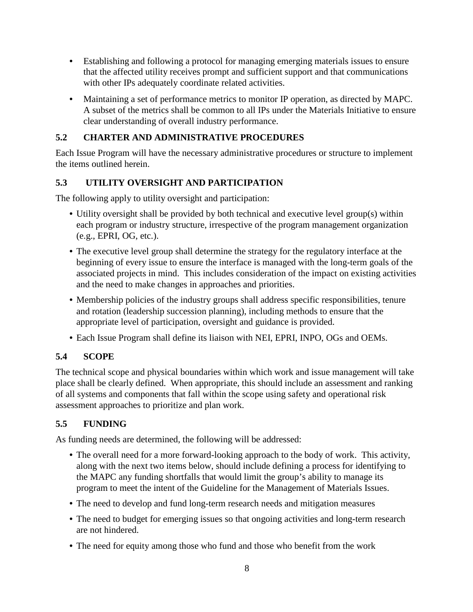- Establishing and following a protocol for managing emerging materials issues to ensure that the affected utility receives prompt and sufficient support and that communications with other IPs adequately coordinate related activities.
- Maintaining a set of performance metrics to monitor IP operation, as directed by MAPC. A subset of the metrics shall be common to all IPs under the Materials Initiative to ensure clear understanding of overall industry performance.

#### <span id="page-10-0"></span>**5.2 CHARTER AND ADMINISTRATIVE PROCEDURES**

Each Issue Program will have the necessary administrative procedures or structure to implement the items outlined herein.

## <span id="page-10-1"></span>**5.3 UTILITY OVERSIGHT AND PARTICIPATION**

The following apply to utility oversight and participation:

- Utility oversight shall be provided by both technical and executive level group(s) within each program or industry structure, irrespective of the program management organization (e.g., EPRI, OG, etc.).
- The executive level group shall determine the strategy for the regulatory interface at the beginning of every issue to ensure the interface is managed with the long-term goals of the associated projects in mind. This includes consideration of the impact on existing activities and the need to make changes in approaches and priorities.
- Membership policies of the industry groups shall address specific responsibilities, tenure and rotation (leadership succession planning), including methods to ensure that the appropriate level of participation, oversight and guidance is provided.
- Each Issue Program shall define its liaison with NEI, EPRI, INPO, OGs and OEMs.

## <span id="page-10-2"></span>**5.4 SCOPE**

The technical scope and physical boundaries within which work and issue management will take place shall be clearly defined. When appropriate, this should include an assessment and ranking of all systems and components that fall within the scope using safety and operational risk assessment approaches to prioritize and plan work.

## <span id="page-10-3"></span>**5.5 FUNDING**

As funding needs are determined, the following will be addressed:

- The overall need for a more forward-looking approach to the body of work. This activity, along with the next two items below, should include defining a process for identifying to the MAPC any funding shortfalls that would limit the group's ability to manage its program to meet the intent of the Guideline for the Management of Materials Issues.
- The need to develop and fund long-term research needs and mitigation measures
- The need to budget for emerging issues so that ongoing activities and long-term research are not hindered.
- The need for equity among those who fund and those who benefit from the work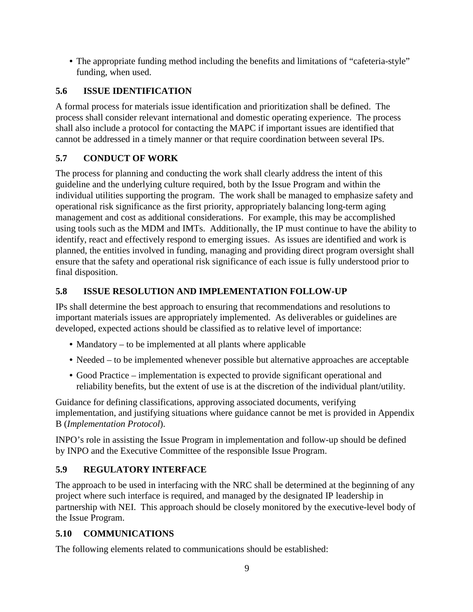• The appropriate funding method including the benefits and limitations of "cafeteria-style" funding, when used.

## <span id="page-11-0"></span>**5.6 ISSUE IDENTIFICATION**

A formal process for materials issue identification and prioritization shall be defined. The process shall consider relevant international and domestic operating experience. The process shall also include a protocol for contacting the MAPC if important issues are identified that cannot be addressed in a timely manner or that require coordination between several IPs.

## <span id="page-11-1"></span>**5.7 CONDUCT OF WORK**

The process for planning and conducting the work shall clearly address the intent of this guideline and the underlying culture required, both by the Issue Program and within the individual utilities supporting the program. The work shall be managed to emphasize safety and operational risk significance as the first priority, appropriately balancing long-term aging management and cost as additional considerations. For example, this may be accomplished using tools such as the MDM and IMTs. Additionally, the IP must continue to have the ability to identify, react and effectively respond to emerging issues. As issues are identified and work is planned, the entities involved in funding, managing and providing direct program oversight shall ensure that the safety and operational risk significance of each issue is fully understood prior to final disposition.

## <span id="page-11-2"></span>**5.8 ISSUE RESOLUTION AND IMPLEMENTATION FOLLOW-UP**

IPs shall determine the best approach to ensuring that recommendations and resolutions to important materials issues are appropriately implemented. As deliverables or guidelines are developed, expected actions should be classified as to relative level of importance:

- Mandatory to be implemented at all plants where applicable
- Needed to be implemented whenever possible but alternative approaches are acceptable
- Good Practice implementation is expected to provide significant operational and reliability benefits, but the extent of use is at the discretion of the individual plant/utility.

Guidance for defining classifications, approving associated documents, verifying implementation, and justifying situations where guidance cannot be met is provided in Appendix B (*Implementation Protocol*).

INPO's role in assisting the Issue Program in implementation and follow-up should be defined by INPO and the Executive Committee of the responsible Issue Program.

## <span id="page-11-3"></span>**5.9 REGULATORY INTERFACE**

The approach to be used in interfacing with the NRC shall be determined at the beginning of any project where such interface is required, and managed by the designated IP leadership in partnership with NEI. This approach should be closely monitored by the executive-level body of the Issue Program.

## <span id="page-11-4"></span>**5.10 COMMUNICATIONS**

The following elements related to communications should be established: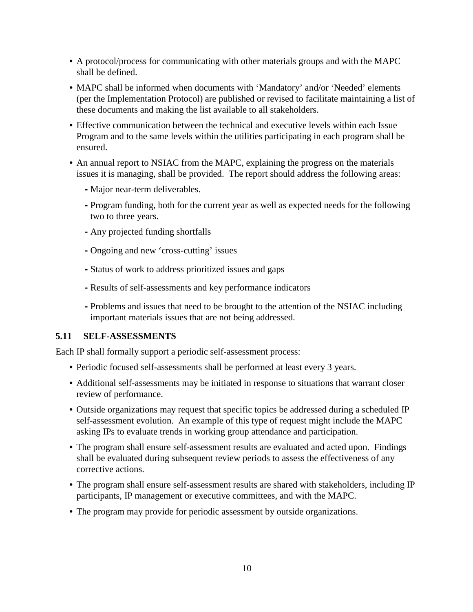- A protocol/process for communicating with other materials groups and with the MAPC shall be defined.
- MAPC shall be informed when documents with 'Mandatory' and/or 'Needed' elements (per the Implementation Protocol) are published or revised to facilitate maintaining a list of these documents and making the list available to all stakeholders.
- Effective communication between the technical and executive levels within each Issue Program and to the same levels within the utilities participating in each program shall be ensured.
- An annual report to NSIAC from the MAPC, explaining the progress on the materials issues it is managing, shall be provided. The report should address the following areas:
	- **-** Major near-term deliverables.
	- **-**Program funding, both for the current year as well as expected needs for the following two to three years.
	- **-** Any projected funding shortfalls
	- **-** Ongoing and new 'cross-cutting' issues
	- **-**Status of work to address prioritized issues and gaps
	- **-**Results of self-assessments and key performance indicators
	- **-**Problems and issues that need to be brought to the attention of the NSIAC including important materials issues that are not being addressed.

#### <span id="page-12-0"></span>**5.11 SELF-ASSESSMENTS**

Each IP shall formally support a periodic self-assessment process:

- Periodic focused self-assessments shall be performed at least every 3 years.
- Additional self-assessments may be initiated in response to situations that warrant closer review of performance.
- Outside organizations may request that specific topics be addressed during a scheduled IP self-assessment evolution. An example of this type of request might include the MAPC asking IPs to evaluate trends in working group attendance and participation.
- The program shall ensure self-assessment results are evaluated and acted upon. Findings shall be evaluated during subsequent review periods to assess the effectiveness of any corrective actions.
- The program shall ensure self-assessment results are shared with stakeholders, including IP participants, IP management or executive committees, and with the MAPC.
- <span id="page-12-1"></span>• The program may provide for periodic assessment by outside organizations.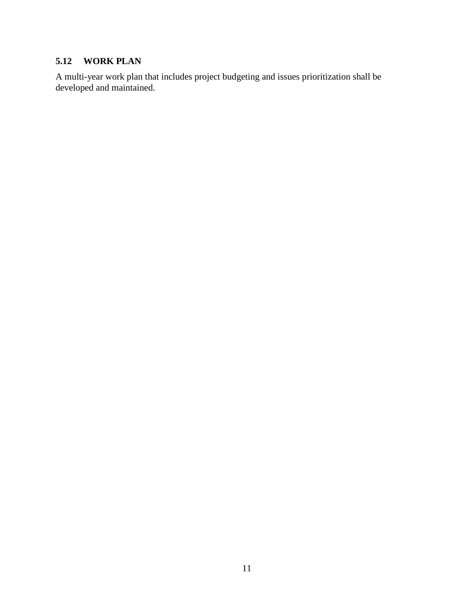## **5.12 WORK PLAN**

A multi-year work plan that includes project budgeting and issues prioritization shall be developed and maintained.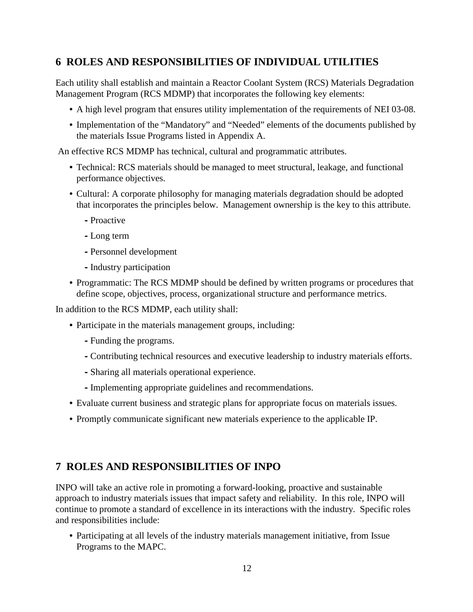## <span id="page-14-0"></span>**6 ROLES AND RESPONSIBILITIES OF INDIVIDUAL UTILITIES**

Each utility shall establish and maintain a Reactor Coolant System (RCS) Materials Degradation Management Program (RCS MDMP) that incorporates the following key elements:

- A high level program that ensures utility implementation of the requirements of NEI 03-08.
- Implementation of the "Mandatory" and "Needed" elements of the documents published by the materials Issue Programs listed in Appendix A.

An effective RCS MDMP has technical, cultural and programmatic attributes.

- Technical: RCS materials should be managed to meet structural, leakage, and functional performance objectives.
- Cultural: A corporate philosophy for managing materials degradation should be adopted that incorporates the principles below. Management ownership is the key to this attribute.
	- **-**Proactive
	- **-**Long term
	- **-**Personnel development
	- **-**Industry participation
- Programmatic: The RCS MDMP should be defined by written programs or procedures that define scope, objectives, process, organizational structure and performance metrics.

In addition to the RCS MDMP, each utility shall:

- Participate in the materials management groups, including:
	- **-**Funding the programs.
	- **-**Contributing technical resources and executive leadership to industry materials efforts.
	- **-**Sharing all materials operational experience.
	- **-**Implementing appropriate guidelines and recommendations.
- Evaluate current business and strategic plans for appropriate focus on materials issues.
- Promptly communicate significant new materials experience to the applicable IP.

## **7 ROLES AND RESPONSIBILITIES OF INPO**

INPO will take an active role in promoting a forward-looking, proactive and sustainable approach to industry materials issues that impact safety and reliability. In this role, INPO will continue to promote a standard of excellence in its interactions with the industry. Specific roles and responsibilities include:

• Participating at all levels of the industry materials management initiative, from Issue Programs to the MAPC.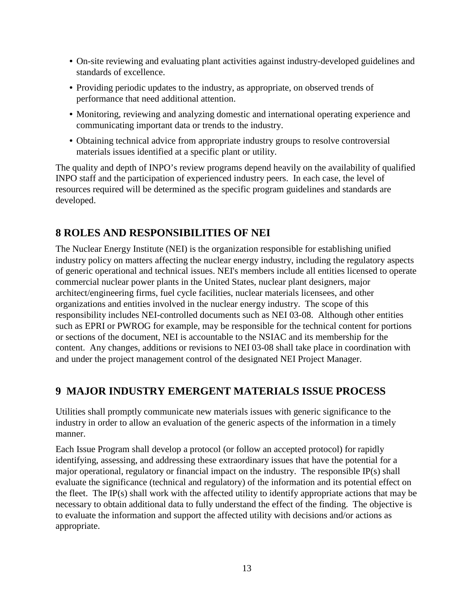- On-site reviewing and evaluating plant activities against industry-developed guidelines and standards of excellence.
- Providing periodic updates to the industry, as appropriate, on observed trends of performance that need additional attention.
- Monitoring, reviewing and analyzing domestic and international operating experience and communicating important data or trends to the industry.
- Obtaining technical advice from appropriate industry groups to resolve controversial materials issues identified at a specific plant or utility.

The quality and depth of INPO's review programs depend heavily on the availability of qualified INPO staff and the participation of experienced industry peers. In each case, the level of resources required will be determined as the specific program guidelines and standards are developed.

## **8 ROLES AND RESPONSIBILITIES OF NEI**

The Nuclear Energy Institute (NEI) is the organization responsible for establishing unified industry policy on matters affecting the nuclear energy industry, including the regulatory aspects of generic operational and technical issues. NEI's members include all entities licensed to operate commercial nuclear power plants in the United States, nuclear plant designers, major architect/engineering firms, fuel cycle facilities, nuclear materials licensees, and other organizations and entities involved in the nuclear energy industry. The scope of this responsibility includes NEI-controlled documents such as NEI 03-08. Although other entities such as EPRI or PWROG for example, may be responsible for the technical content for portions or sections of the document, NEI is accountable to the NSIAC and its membership for the content. Any changes, additions or revisions to NEI 03-08 shall take place in coordination with and under the project management control of the designated NEI Project Manager.

## **9 MAJOR INDUSTRY EMERGENT MATERIALS ISSUE PROCESS**

Utilities shall promptly communicate new materials issues with generic significance to the industry in order to allow an evaluation of the generic aspects of the information in a timely manner.

Each Issue Program shall develop a protocol (or follow an accepted protocol) for rapidly identifying, assessing, and addressing these extraordinary issues that have the potential for a major operational, regulatory or financial impact on the industry. The responsible IP(s) shall evaluate the significance (technical and regulatory) of the information and its potential effect on the fleet. The IP(s) shall work with the affected utility to identify appropriate actions that may be necessary to obtain additional data to fully understand the effect of the finding. The objective is to evaluate the information and support the affected utility with decisions and/or actions as appropriate.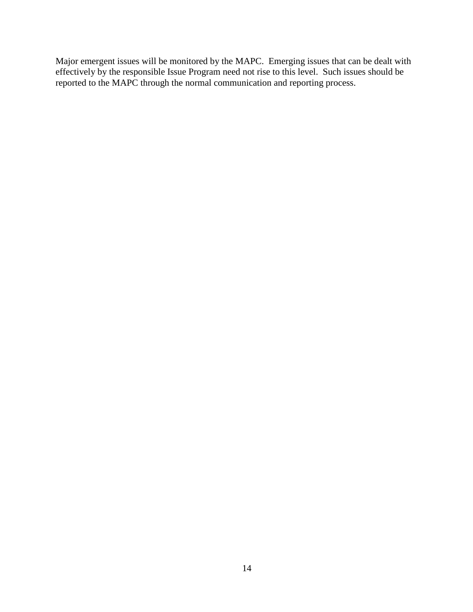Major emergent issues will be monitored by the MAPC. Emerging issues that can be dealt with effectively by the responsible Issue Program need not rise to this level. Such issues should be reported to the MAPC through the normal communication and reporting process.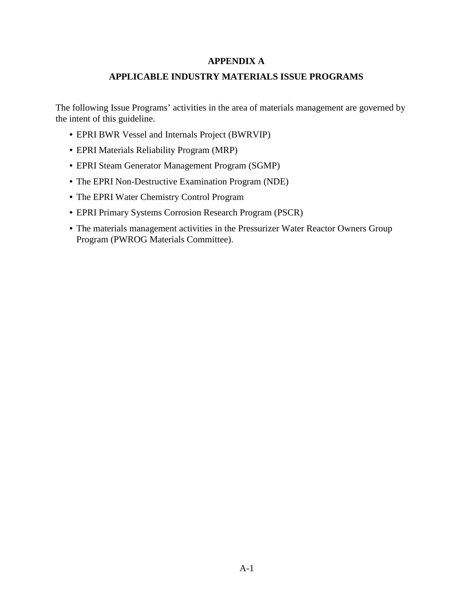#### **APPENDIX A**

#### **APPLICABLE INDUSTRY MATERIALS ISSUE PROGRAMS**

The following Issue Programs' activities in the area of materials management are governed by the intent of this guideline.

- EPRI BWR Vessel and Internals Project (BWRVIP)
- EPRI Materials Reliability Program (MRP)
- EPRI Steam Generator Management Program (SGMP)
- The EPRI Non-Destructive Examination Program (NDE)
- The EPRI Water Chemistry Control Program
- EPRI Primary Systems Corrosion Research Program (PSCR)
- The materials management activities in the Pressurizer Water Reactor Owners Group Program (PWROG Materials Committee).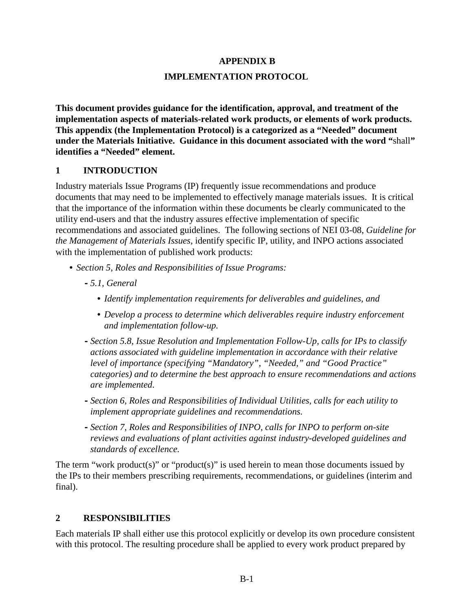#### **APPENDIX B**

#### **IMPLEMENTATION PROTOCOL**

**This document provides guidance for the identification, approval, and treatment of the implementation aspects of materials-related work products, or elements of work products. This appendix (the Implementation Protocol) is a categorized as a "Needed" document under the Materials Initiative. Guidance in this document associated with the word "**shall**" identifies a "Needed" element.** 

#### **1 INTRODUCTION**

Industry materials Issue Programs (IP) frequently issue recommendations and produce documents that may need to be implemented to effectively manage materials issues. It is critical that the importance of the information within these documents be clearly communicated to the utility end-users and that the industry assures effective implementation of specific recommendations and associated guidelines. The following sections of NEI 03-08, *Guideline for the Management of Materials Issues*, identify specific IP, utility, and INPO actions associated with the implementation of published work products:

- *Section 5, Roles and Responsibilities of Issue Programs:* 
	- **-***5.1, General* 
		- *Identify implementation requirements for deliverables and guidelines, and*
		- *Develop a process to determine which deliverables require industry enforcement and implementation follow-up.*
	- **-***Section 5.8, Issue Resolution and Implementation Follow-Up, calls for IPs to classify actions associated with guideline implementation in accordance with their relative level of importance (specifying "Mandatory", "Needed," and "Good Practice" categories) and to determine the best approach to ensure recommendations and actions are implemented*.
	- **-***Section 6, Roles and Responsibilities of Individual Utilities, calls for each utility to implement appropriate guidelines and recommendations.*
	- **-***Section 7, Roles and Responsibilities of INPO, calls for INPO to perform on-site reviews and evaluations of plant activities against industry-developed guidelines and standards of excellence.*

The term "work product(s)" or "product(s)" is used herein to mean those documents issued by the IPs to their members prescribing requirements, recommendations, or guidelines (interim and final).

#### **2 RESPONSIBILITIES**

Each materials IP shall either use this protocol explicitly or develop its own procedure consistent with this protocol. The resulting procedure shall be applied to every work product prepared by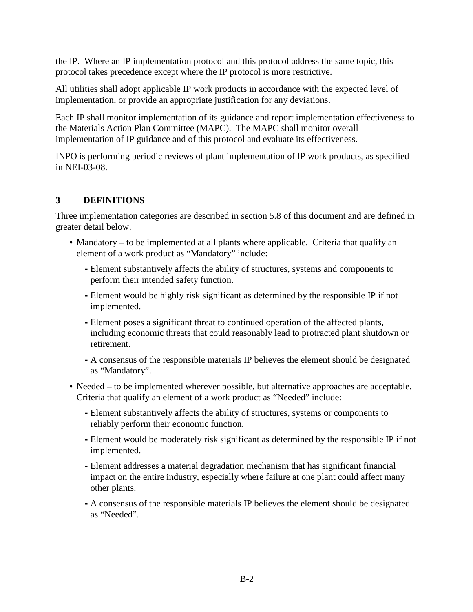the IP. Where an IP implementation protocol and this protocol address the same topic, this protocol takes precedence except where the IP protocol is more restrictive.

All utilities shall adopt applicable IP work products in accordance with the expected level of implementation, or provide an appropriate justification for any deviations.

Each IP shall monitor implementation of its guidance and report implementation effectiveness to the Materials Action Plan Committee (MAPC). The MAPC shall monitor overall implementation of IP guidance and of this protocol and evaluate its effectiveness.

INPO is performing periodic reviews of plant implementation of IP work products, as specified in NEI-03-08.

#### **3 DEFINITIONS**

Three implementation categories are described in section 5.8 of this document and are defined in greater detail below.

- Mandatory to be implemented at all plants where applicable. Criteria that qualify an element of a work product as "Mandatory" include:
	- **-**Element substantively affects the ability of structures, systems and components to perform their intended safety function.
	- **-**Element would be highly risk significant as determined by the responsible IP if not implemented.
	- **-**Element poses a significant threat to continued operation of the affected plants, including economic threats that could reasonably lead to protracted plant shutdown or retirement.
	- **-** A consensus of the responsible materials IP believes the element should be designated as "Mandatory".
- Needed to be implemented wherever possible, but alternative approaches are acceptable. Criteria that qualify an element of a work product as "Needed" include:
	- **-**Element substantively affects the ability of structures, systems or components to reliably perform their economic function.
	- **-**Element would be moderately risk significant as determined by the responsible IP if not implemented.
	- **-**Element addresses a material degradation mechanism that has significant financial impact on the entire industry, especially where failure at one plant could affect many other plants.
	- **-** A consensus of the responsible materials IP believes the element should be designated as "Needed".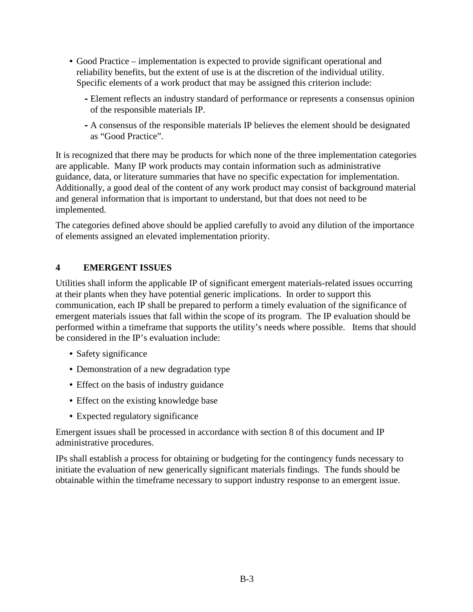- Good Practice implementation is expected to provide significant operational and reliability benefits, but the extent of use is at the discretion of the individual utility. Specific elements of a work product that may be assigned this criterion include:
	- **-**Element reflects an industry standard of performance or represents a consensus opinion of the responsible materials IP.
	- **-** A consensus of the responsible materials IP believes the element should be designated as "Good Practice".

It is recognized that there may be products for which none of the three implementation categories are applicable. Many IP work products may contain information such as administrative guidance, data, or literature summaries that have no specific expectation for implementation. Additionally, a good deal of the content of any work product may consist of background material and general information that is important to understand, but that does not need to be implemented.

The categories defined above should be applied carefully to avoid any dilution of the importance of elements assigned an elevated implementation priority.

## **4 EMERGENT ISSUES**

Utilities shall inform the applicable IP of significant emergent materials-related issues occurring at their plants when they have potential generic implications. In order to support this communication, each IP shall be prepared to perform a timely evaluation of the significance of emergent materials issues that fall within the scope of its program. The IP evaluation should be performed within a timeframe that supports the utility's needs where possible. Items that should be considered in the IP's evaluation include:

- Safety significance
- Demonstration of a new degradation type
- Effect on the basis of industry guidance
- Effect on the existing knowledge base
- Expected regulatory significance

Emergent issues shall be processed in accordance with section 8 of this document and IP administrative procedures.

IPs shall establish a process for obtaining or budgeting for the contingency funds necessary to initiate the evaluation of new generically significant materials findings. The funds should be obtainable within the timeframe necessary to support industry response to an emergent issue.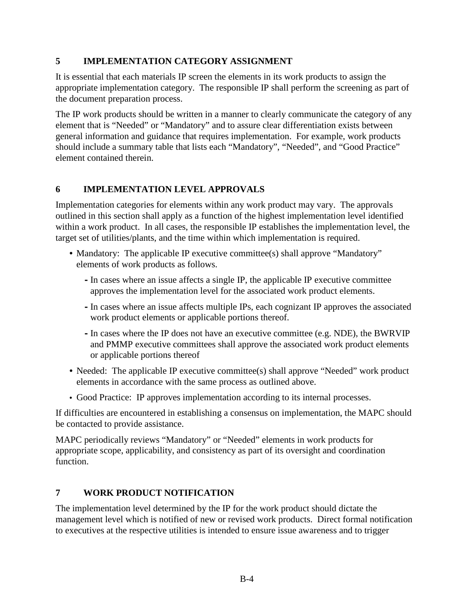#### **5 IMPLEMENTATION CATEGORY ASSIGNMENT**

It is essential that each materials IP screen the elements in its work products to assign the appropriate implementation category. The responsible IP shall perform the screening as part of the document preparation process.

The IP work products should be written in a manner to clearly communicate the category of any element that is "Needed" or "Mandatory" and to assure clear differentiation exists between general information and guidance that requires implementation. For example, work products should include a summary table that lists each "Mandatory", "Needed", and "Good Practice" element contained therein.

#### **6 IMPLEMENTATION LEVEL APPROVALS**

Implementation categories for elements within any work product may vary. The approvals outlined in this section shall apply as a function of the highest implementation level identified within a work product. In all cases, the responsible IP establishes the implementation level, the target set of utilities/plants, and the time within which implementation is required.

- Mandatory: The applicable IP executive committee(s) shall approve "Mandatory" elements of work products as follows.
	- **-**In cases where an issue affects a single IP, the applicable IP executive committee approves the implementation level for the associated work product elements.
	- **-**In cases where an issue affects multiple IPs, each cognizant IP approves the associated work product elements or applicable portions thereof.
	- **-**In cases where the IP does not have an executive committee (e.g. NDE), the BWRVIP and PMMP executive committees shall approve the associated work product elements or applicable portions thereof
- Needed: The applicable IP executive committee(s) shall approve "Needed" work product elements in accordance with the same process as outlined above.
- Good Practice: IP approves implementation according to its internal processes.

If difficulties are encountered in establishing a consensus on implementation, the MAPC should be contacted to provide assistance.

MAPC periodically reviews "Mandatory" or "Needed" elements in work products for appropriate scope, applicability, and consistency as part of its oversight and coordination function.

#### **7 WORK PRODUCT NOTIFICATION**

The implementation level determined by the IP for the work product should dictate the management level which is notified of new or revised work products. Direct formal notification to executives at the respective utilities is intended to ensure issue awareness and to trigger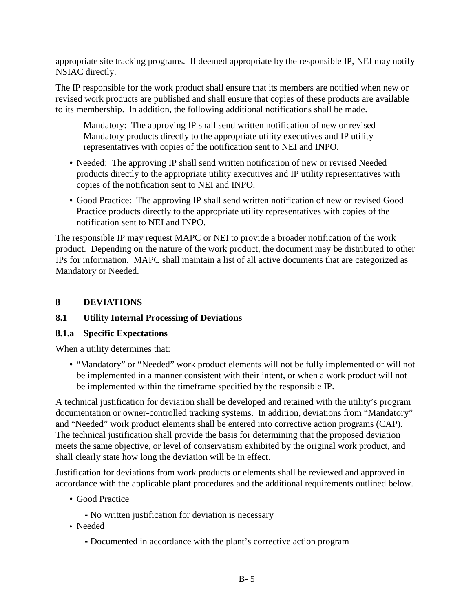appropriate site tracking programs. If deemed appropriate by the responsible IP, NEI may notify NSIAC directly.

The IP responsible for the work product shall ensure that its members are notified when new or revised work products are published and shall ensure that copies of these products are available to its membership. In addition, the following additional notifications shall be made.

Mandatory: The approving IP shall send written notification of new or revised Mandatory products directly to the appropriate utility executives and IP utility representatives with copies of the notification sent to NEI and INPO.

- Needed: The approving IP shall send written notification of new or revised Needed products directly to the appropriate utility executives and IP utility representatives with copies of the notification sent to NEI and INPO.
- Good Practice: The approving IP shall send written notification of new or revised Good Practice products directly to the appropriate utility representatives with copies of the notification sent to NEI and INPO.

The responsible IP may request MAPC or NEI to provide a broader notification of the work product. Depending on the nature of the work product, the document may be distributed to other IPs for information. MAPC shall maintain a list of all active documents that are categorized as Mandatory or Needed.

## **8 DEVIATIONS**

#### **8.1 Utility Internal Processing of Deviations**

#### **8.1.a Specific Expectations**

When a utility determines that:

• "Mandatory" or "Needed" work product elements will not be fully implemented or will not be implemented in a manner consistent with their intent, or when a work product will not be implemented within the timeframe specified by the responsible IP.

A technical justification for deviation shall be developed and retained with the utility's program documentation or owner-controlled tracking systems. In addition, deviations from "Mandatory" and "Needed" work product elements shall be entered into corrective action programs (CAP). The technical justification shall provide the basis for determining that the proposed deviation meets the same objective, or level of conservatism exhibited by the original work product, and shall clearly state how long the deviation will be in effect.

Justification for deviations from work products or elements shall be reviewed and approved in accordance with the applicable plant procedures and the additional requirements outlined below.

- Good Practice
	- **-** No written justification for deviation is necessary
- Needed
	- **-** Documented in accordance with the plant's corrective action program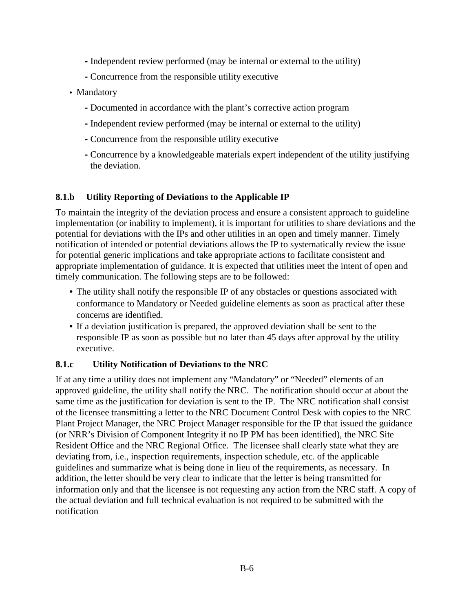- **-** Independent review performed (may be internal or external to the utility)
- **-**Concurrence from the responsible utility executive
- Mandatory
	- **-** Documented in accordance with the plant's corrective action program
	- **-**Independent review performed (may be internal or external to the utility)
	- **-**Concurrence from the responsible utility executive
	- **-**Concurrence by a knowledgeable materials expert independent of the utility justifying the deviation.

#### **8.1.b Utility Reporting of Deviations to the Applicable IP**

To maintain the integrity of the deviation process and ensure a consistent approach to guideline implementation (or inability to implement), it is important for utilities to share deviations and the potential for deviations with the IPs and other utilities in an open and timely manner. Timely notification of intended or potential deviations allows the IP to systematically review the issue for potential generic implications and take appropriate actions to facilitate consistent and appropriate implementation of guidance. It is expected that utilities meet the intent of open and timely communication. The following steps are to be followed:

- The utility shall notify the responsible IP of any obstacles or questions associated with conformance to Mandatory or Needed guideline elements as soon as practical after these concerns are identified.
- If a deviation justification is prepared, the approved deviation shall be sent to the responsible IP as soon as possible but no later than 45 days after approval by the utility executive.

#### **8.1.c Utility Notification of Deviations to the NRC**

If at any time a utility does not implement any "Mandatory" or "Needed" elements of an approved guideline, the utility shall notify the NRC. The notification should occur at about the same time as the justification for deviation is sent to the IP. The NRC notification shall consist of the licensee transmitting a letter to the NRC Document Control Desk with copies to the NRC Plant Project Manager, the NRC Project Manager responsible for the IP that issued the guidance (or NRR's Division of Component Integrity if no IP PM has been identified), the NRC Site Resident Office and the NRC Regional Office. The licensee shall clearly state what they are deviating from, i.e., inspection requirements, inspection schedule, etc. of the applicable guidelines and summarize what is being done in lieu of the requirements, as necessary. In addition, the letter should be very clear to indicate that the letter is being transmitted for information only and that the licensee is not requesting any action from the NRC staff. A copy of the actual deviation and full technical evaluation is not required to be submitted with the notification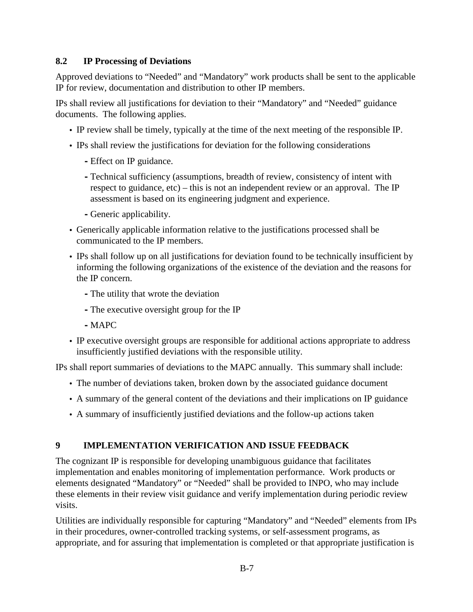#### **8.2 IP Processing of Deviations**

Approved deviations to "Needed" and "Mandatory" work products shall be sent to the applicable IP for review, documentation and distribution to other IP members.

IPs shall review all justifications for deviation to their "Mandatory" and "Needed" guidance documents. The following applies.

- IP review shall be timely, typically at the time of the next meeting of the responsible IP.
- IPs shall review the justifications for deviation for the following considerations
	- **-**Effect on IP guidance.
	- **-**Technical sufficiency (assumptions, breadth of review, consistency of intent with respect to guidance, etc) – this is not an independent review or an approval. The IP assessment is based on its engineering judgment and experience.
	- **-** Generic applicability.
- Generically applicable information relative to the justifications processed shall be communicated to the IP members.
- IPs shall follow up on all justifications for deviation found to be technically insufficient by informing the following organizations of the existence of the deviation and the reasons for the IP concern.
	- **-**The utility that wrote the deviation
	- **-**The executive oversight group for the IP
	- **-** MAPC
- IP executive oversight groups are responsible for additional actions appropriate to address insufficiently justified deviations with the responsible utility.

IPs shall report summaries of deviations to the MAPC annually. This summary shall include:

- The number of deviations taken, broken down by the associated guidance document
- A summary of the general content of the deviations and their implications on IP guidance
- A summary of insufficiently justified deviations and the follow-up actions taken

#### **9 IMPLEMENTATION VERIFICATION AND ISSUE FEEDBACK**

The cognizant IP is responsible for developing unambiguous guidance that facilitates implementation and enables monitoring of implementation performance. Work products or elements designated "Mandatory" or "Needed" shall be provided to INPO, who may include these elements in their review visit guidance and verify implementation during periodic review visits.

Utilities are individually responsible for capturing "Mandatory" and "Needed" elements from IPs in their procedures, owner-controlled tracking systems, or self-assessment programs, as appropriate, and for assuring that implementation is completed or that appropriate justification is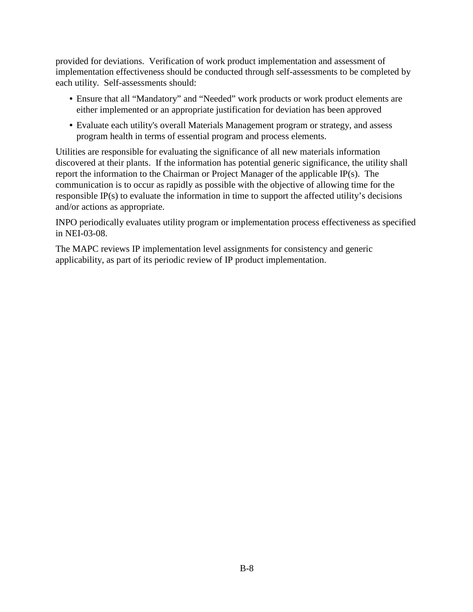provided for deviations. Verification of work product implementation and assessment of implementation effectiveness should be conducted through self-assessments to be completed by each utility. Self-assessments should:

- Ensure that all "Mandatory" and "Needed" work products or work product elements are either implemented or an appropriate justification for deviation has been approved
- Evaluate each utility's overall Materials Management program or strategy, and assess program health in terms of essential program and process elements.

Utilities are responsible for evaluating the significance of all new materials information discovered at their plants. If the information has potential generic significance, the utility shall report the information to the Chairman or Project Manager of the applicable IP(s). The communication is to occur as rapidly as possible with the objective of allowing time for the responsible IP(s) to evaluate the information in time to support the affected utility's decisions and/or actions as appropriate.

INPO periodically evaluates utility program or implementation process effectiveness as specified in NEI-03-08.

The MAPC reviews IP implementation level assignments for consistency and generic applicability, as part of its periodic review of IP product implementation.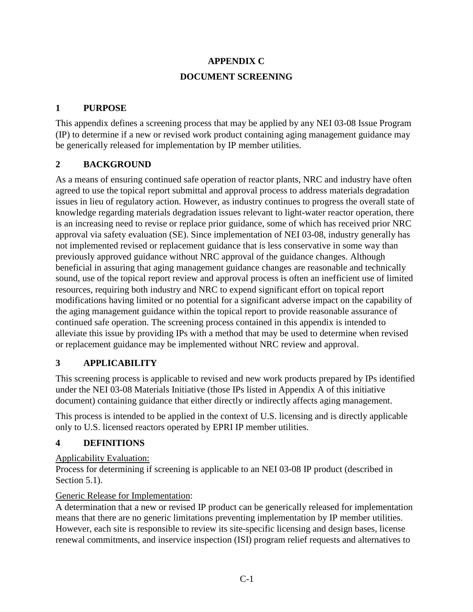# **APPENDIX C DOCUMENT SCREENING**

#### **1 PURPOSE**

This appendix defines a screening process that may be applied by any NEI 03-08 Issue Program (IP) to determine if a new or revised work product containing aging management guidance may be generically released for implementation by IP member utilities.

## **2 BACKGROUND**

As a means of ensuring continued safe operation of reactor plants, NRC and industry have often agreed to use the topical report submittal and approval process to address materials degradation issues in lieu of regulatory action. However, as industry continues to progress the overall state of knowledge regarding materials degradation issues relevant to light-water reactor operation, there is an increasing need to revise or replace prior guidance, some of which has received prior NRC approval via safety evaluation (SE). Since implementation of NEI 03-08, industry generally has not implemented revised or replacement guidance that is less conservative in some way than previously approved guidance without NRC approval of the guidance changes. Although beneficial in assuring that aging management guidance changes are reasonable and technically sound, use of the topical report review and approval process is often an inefficient use of limited resources, requiring both industry and NRC to expend significant effort on topical report modifications having limited or no potential for a significant adverse impact on the capability of the aging management guidance within the topical report to provide reasonable assurance of continued safe operation. The screening process contained in this appendix is intended to alleviate this issue by providing IPs with a method that may be used to determine when revised or replacement guidance may be implemented without NRC review and approval.

## **3 APPLICABILITY**

This screening process is applicable to revised and new work products prepared by IPs identified under the NEI 03-08 Materials Initiative (those IPs listed in Appendix A of this initiative document) containing guidance that either directly or indirectly affects aging management.

This process is intended to be applied in the context of U.S. licensing and is directly applicable only to U.S. licensed reactors operated by EPRI IP member utilities.

#### **4 DEFINITIONS**

#### Applicability Evaluation:

Process for determining if screening is applicable to an NEI 03-08 IP product (described in Section 5.1).

#### Generic Release for Implementation:

A determination that a new or revised IP product can be generically released for implementation means that there are no generic limitations preventing implementation by IP member utilities. However, each site is responsible to review its site-specific licensing and design bases, license renewal commitments, and inservice inspection (ISI) program relief requests and alternatives to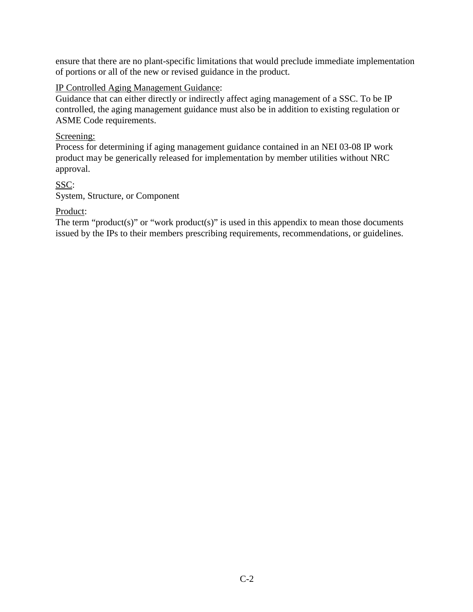ensure that there are no plant-specific limitations that would preclude immediate implementation of portions or all of the new or revised guidance in the product.

#### IP Controlled Aging Management Guidance:

Guidance that can either directly or indirectly affect aging management of a SSC. To be IP controlled, the aging management guidance must also be in addition to existing regulation or ASME Code requirements.

#### Screening:

Process for determining if aging management guidance contained in an NEI 03-08 IP work product may be generically released for implementation by member utilities without NRC approval.

SSC: System, Structure, or Component

#### Product:

The term "product(s)" or "work product(s)" is used in this appendix to mean those documents issued by the IPs to their members prescribing requirements, recommendations, or guidelines.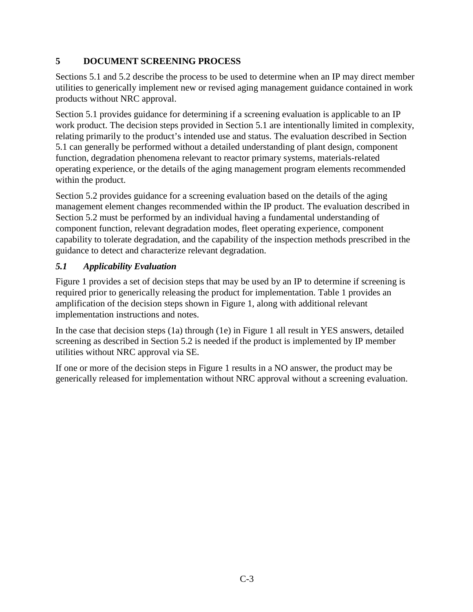## **5 DOCUMENT SCREENING PROCESS**

Sections 5.1 and 5.2 describe the process to be used to determine when an IP may direct member utilities to generically implement new or revised aging management guidance contained in work products without NRC approval.

Section 5.1 provides guidance for determining if a screening evaluation is applicable to an IP work product. The decision steps provided in Section 5.1 are intentionally limited in complexity, relating primarily to the product's intended use and status. The evaluation described in Section 5.1 can generally be performed without a detailed understanding of plant design, component function, degradation phenomena relevant to reactor primary systems, materials-related operating experience, or the details of the aging management program elements recommended within the product.

Section 5.2 provides guidance for a screening evaluation based on the details of the aging management element changes recommended within the IP product. The evaluation described in Section 5.2 must be performed by an individual having a fundamental understanding of component function, relevant degradation modes, fleet operating experience, component capability to tolerate degradation, and the capability of the inspection methods prescribed in the guidance to detect and characterize relevant degradation.

## *5.1 Applicability Evaluation*

Figure 1 provides a set of decision steps that may be used by an IP to determine if screening is required prior to generically releasing the product for implementation. Table 1 provides an amplification of the decision steps shown in Figure 1, along with additional relevant implementation instructions and notes.

In the case that decision steps (1a) through (1e) in Figure 1 all result in YES answers, detailed screening as described in Section 5.2 is needed if the product is implemented by IP member utilities without NRC approval via SE.

If one or more of the decision steps in Figure 1 results in a NO answer, the product may be generically released for implementation without NRC approval without a screening evaluation.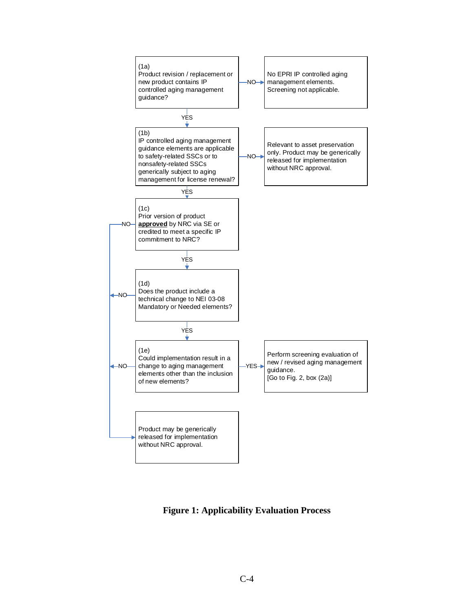

**Figure 1: Applicability Evaluation Process**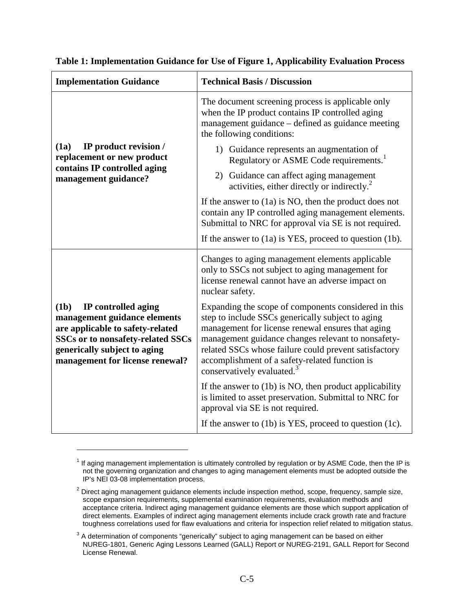| <b>Implementation Guidance</b>                                                                                                                                                                          | <b>Technical Basis / Discussion</b>                                                                                                                                                                                                                                                                                                                          |
|---------------------------------------------------------------------------------------------------------------------------------------------------------------------------------------------------------|--------------------------------------------------------------------------------------------------------------------------------------------------------------------------------------------------------------------------------------------------------------------------------------------------------------------------------------------------------------|
| IP product revision /<br>(1a)<br>replacement or new product<br>contains IP controlled aging<br>management guidance?                                                                                     | The document screening process is applicable only<br>when the IP product contains IP controlled aging<br>management guidance - defined as guidance meeting<br>the following conditions:                                                                                                                                                                      |
|                                                                                                                                                                                                         | 1) Guidance represents an augmentation of<br>Regulatory or ASME Code requirements. <sup>1</sup>                                                                                                                                                                                                                                                              |
|                                                                                                                                                                                                         | 2) Guidance can affect aging management<br>activities, either directly or indirectly. <sup>2</sup>                                                                                                                                                                                                                                                           |
|                                                                                                                                                                                                         | If the answer to $(1a)$ is NO, then the product does not<br>contain any IP controlled aging management elements.<br>Submittal to NRC for approval via SE is not required.                                                                                                                                                                                    |
|                                                                                                                                                                                                         | If the answer to $(1a)$ is YES, proceed to question $(1b)$ .                                                                                                                                                                                                                                                                                                 |
| (1b)<br>IP controlled aging<br>management guidance elements<br>are applicable to safety-related<br>SSCs or to nonsafety-related SSCs<br>generically subject to aging<br>management for license renewal? | Changes to aging management elements applicable<br>only to SSCs not subject to aging management for<br>license renewal cannot have an adverse impact on<br>nuclear safety.                                                                                                                                                                                   |
|                                                                                                                                                                                                         | Expanding the scope of components considered in this<br>step to include SSCs generically subject to aging<br>management for license renewal ensures that aging<br>management guidance changes relevant to nonsafety-<br>related SSCs whose failure could prevent satisfactory<br>accomplishment of a safety-related function is<br>conservatively evaluated. |
|                                                                                                                                                                                                         | If the answer to $(1b)$ is NO, then product applicability<br>is limited to asset preservation. Submittal to NRC for<br>approval via SE is not required.                                                                                                                                                                                                      |
|                                                                                                                                                                                                         | If the answer to $(1b)$ is YES, proceed to question $(1c)$ .                                                                                                                                                                                                                                                                                                 |

#### **Table 1: Implementation Guidance for Use of Figure 1, Applicability Evaluation Process**

<u>.</u>

 $<sup>1</sup>$  If aging management implementation is ultimately controlled by regulation or by ASME Code, then the IP is</sup> not the governing organization and changes to aging management elements must be adopted outside the IP's NEI 03-08 implementation process.

 $2$  Direct aging management guidance elements include inspection method, scope, frequency, sample size, scope expansion requirements, supplemental examination requirements, evaluation methods and acceptance criteria. Indirect aging management guidance elements are those which support application of direct elements. Examples of indirect aging management elements include crack growth rate and fracture toughness correlations used for flaw evaluations and criteria for inspection relief related to mitigation status.

 $3$  A determination of components "generically" subject to aging management can be based on either NUREG-1801, Generic Aging Lessons Learned (GALL) Report or NUREG-2191, GALL Report for Second License Renewal.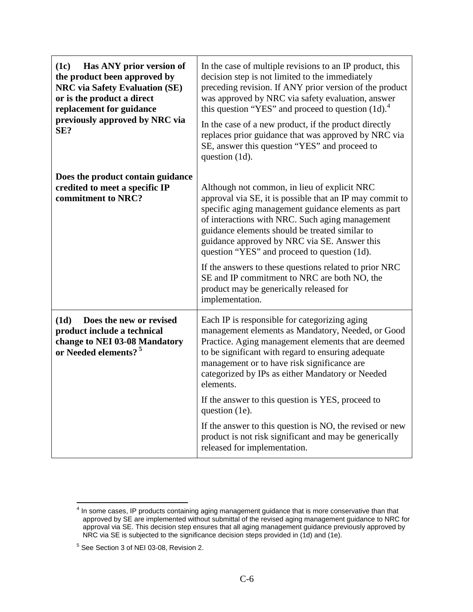| (1c)<br>Has ANY prior version of<br>the product been approved by<br><b>NRC</b> via Safety Evaluation (SE)<br>or is the product a direct<br>replacement for guidance<br>previously approved by NRC via<br>SE? | In the case of multiple revisions to an IP product, this<br>decision step is not limited to the immediately<br>preceding revision. If ANY prior version of the product<br>was approved by NRC via safety evaluation, answer<br>this question "YES" and proceed to question $(1d)$ .<br>In the case of a new product, if the product directly<br>replaces prior guidance that was approved by NRC via<br>SE, answer this question "YES" and proceed to<br>question (1d).                                                                                      |
|--------------------------------------------------------------------------------------------------------------------------------------------------------------------------------------------------------------|--------------------------------------------------------------------------------------------------------------------------------------------------------------------------------------------------------------------------------------------------------------------------------------------------------------------------------------------------------------------------------------------------------------------------------------------------------------------------------------------------------------------------------------------------------------|
| Does the product contain guidance<br>credited to meet a specific IP<br>commitment to NRC?                                                                                                                    | Although not common, in lieu of explicit NRC<br>approval via SE, it is possible that an IP may commit to<br>specific aging management guidance elements as part<br>of interactions with NRC. Such aging management<br>guidance elements should be treated similar to<br>guidance approved by NRC via SE. Answer this<br>question "YES" and proceed to question (1d).<br>If the answers to these questions related to prior NRC<br>SE and IP commitment to NRC are both NO, the<br>product may be generically released for<br>implementation.                 |
| (1d)<br>Does the new or revised<br>product include a technical<br>change to NEI 03-08 Mandatory<br>or Needed elements? <sup>5</sup>                                                                          | Each IP is responsible for categorizing aging<br>management elements as Mandatory, Needed, or Good<br>Practice. Aging management elements that are deemed<br>to be significant with regard to ensuring adequate<br>management or to have risk significance are<br>categorized by IPs as either Mandatory or Needed<br>elements.<br>If the answer to this question is YES, proceed to<br>question (1e).<br>If the answer to this question is NO, the revised or new<br>product is not risk significant and may be generically<br>released for implementation. |

<sup>————————————————————&</sup>lt;br><sup>4</sup> In some cases, IP products containing aging management guidance that is more conservative than that approved by SE are implemented without submittal of the revised aging management guidance to NRC for approval via SE. This decision step ensures that all aging management guidance previously approved by NRC via SE is subjected to the significance decision steps provided in (1d) and (1e).

<sup>5</sup> See Section 3 of NEI 03-08, Revision 2.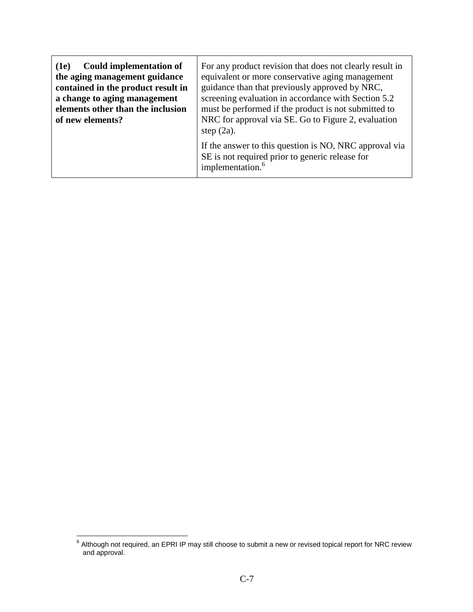| Could implementation of            | For any product revision that does not clearly result in                                                                                  |
|------------------------------------|-------------------------------------------------------------------------------------------------------------------------------------------|
| (1e)                               | equivalent or more conservative aging management                                                                                          |
| the aging management guidance      | guidance than that previously approved by NRC,                                                                                            |
| contained in the product result in | screening evaluation in accordance with Section 5.2                                                                                       |
| a change to aging management       | must be performed if the product is not submitted to                                                                                      |
| elements other than the inclusion  | NRC for approval via SE. Go to Figure 2, evaluation                                                                                       |
| of new elements?                   | step $(2a)$ .                                                                                                                             |
|                                    | If the answer to this question is NO, NRC approval via<br>SE is not required prior to generic release for<br>implementation. <sup>6</sup> |

<sup>6</sup> Although not required, an EPRI IP may still choose to submit a new or revised topical report for NRC review and approval.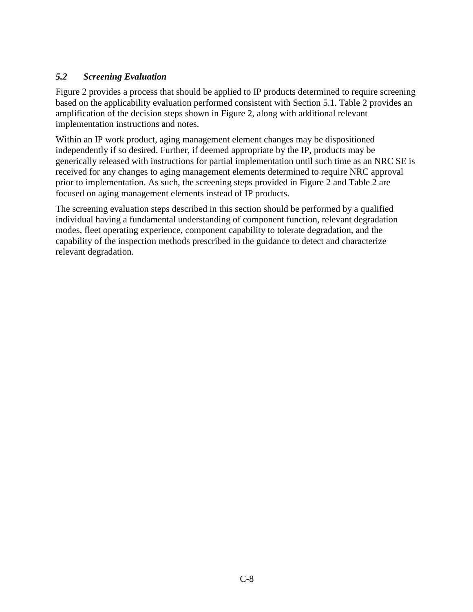#### *5.2 Screening Evaluation*

Figure 2 provides a process that should be applied to IP products determined to require screening based on the applicability evaluation performed consistent with Section 5.1. Table 2 provides an amplification of the decision steps shown in Figure 2, along with additional relevant implementation instructions and notes.

Within an IP work product, aging management element changes may be dispositioned independently if so desired. Further, if deemed appropriate by the IP, products may be generically released with instructions for partial implementation until such time as an NRC SE is received for any changes to aging management elements determined to require NRC approval prior to implementation. As such, the screening steps provided in Figure 2 and Table 2 are focused on aging management elements instead of IP products.

The screening evaluation steps described in this section should be performed by a qualified individual having a fundamental understanding of component function, relevant degradation modes, fleet operating experience, component capability to tolerate degradation, and the capability of the inspection methods prescribed in the guidance to detect and characterize relevant degradation.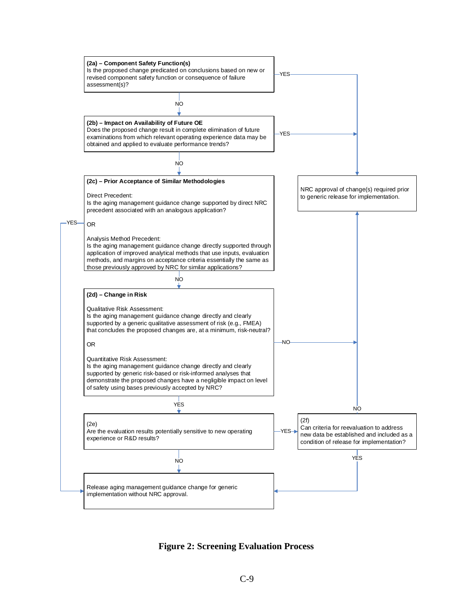

**Figure 2: Screening Evaluation Process**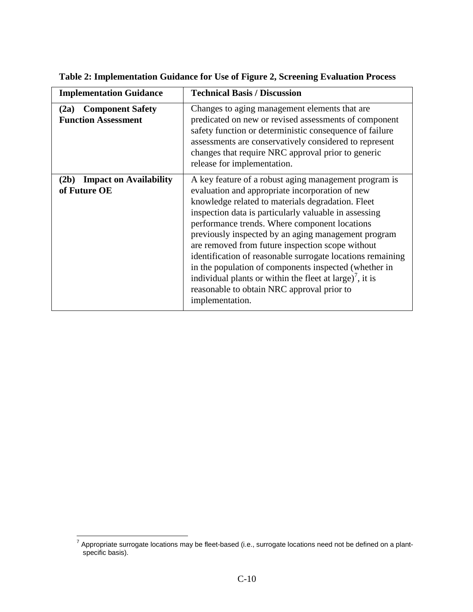| <b>Implementation Guidance</b>                                | <b>Technical Basis / Discussion</b>                                                                                                                                                                                                                                                                                                                                                                                                                                                                                                                                                                                                                |
|---------------------------------------------------------------|----------------------------------------------------------------------------------------------------------------------------------------------------------------------------------------------------------------------------------------------------------------------------------------------------------------------------------------------------------------------------------------------------------------------------------------------------------------------------------------------------------------------------------------------------------------------------------------------------------------------------------------------------|
| <b>Component Safety</b><br>(2a)<br><b>Function Assessment</b> | Changes to aging management elements that are<br>predicated on new or revised assessments of component<br>safety function or deterministic consequence of failure<br>assessments are conservatively considered to represent<br>changes that require NRC approval prior to generic<br>release for implementation.                                                                                                                                                                                                                                                                                                                                   |
| (2b)<br><b>Impact on Availability</b><br>of Future OE         | A key feature of a robust aging management program is<br>evaluation and appropriate incorporation of new<br>knowledge related to materials degradation. Fleet<br>inspection data is particularly valuable in assessing<br>performance trends. Where component locations<br>previously inspected by an aging management program<br>are removed from future inspection scope without<br>identification of reasonable surrogate locations remaining<br>in the population of components inspected (whether in<br>individual plants or within the fleet at large) <sup>7</sup> , it is<br>reasonable to obtain NRC approval prior to<br>implementation. |

**Table 2: Implementation Guidance for Use of Figure 2, Screening Evaluation Process** 

<sup>7</sup> Appropriate surrogate locations may be fleet-based (i.e., surrogate locations need not be defined on a plantspecific basis).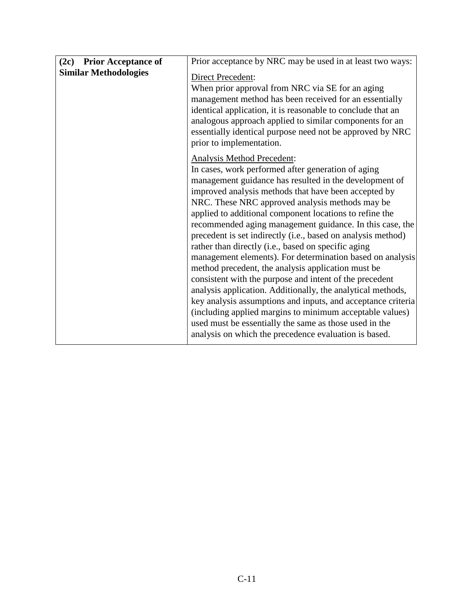| (2c) Prior Acceptance of     | Prior acceptance by NRC may be used in at least two ways:                                                                                                                                                                                                                                                                                                                                                                                                                                                                                                                                                                                                                                                                                                                                                                                                                                                                                                                                       |
|------------------------------|-------------------------------------------------------------------------------------------------------------------------------------------------------------------------------------------------------------------------------------------------------------------------------------------------------------------------------------------------------------------------------------------------------------------------------------------------------------------------------------------------------------------------------------------------------------------------------------------------------------------------------------------------------------------------------------------------------------------------------------------------------------------------------------------------------------------------------------------------------------------------------------------------------------------------------------------------------------------------------------------------|
| <b>Similar Methodologies</b> | Direct Precedent:<br>When prior approval from NRC via SE for an aging<br>management method has been received for an essentially<br>identical application, it is reasonable to conclude that an<br>analogous approach applied to similar components for an<br>essentially identical purpose need not be approved by NRC<br>prior to implementation.                                                                                                                                                                                                                                                                                                                                                                                                                                                                                                                                                                                                                                              |
|                              | Analysis Method Precedent:<br>In cases, work performed after generation of aging<br>management guidance has resulted in the development of<br>improved analysis methods that have been accepted by<br>NRC. These NRC approved analysis methods may be<br>applied to additional component locations to refine the<br>recommended aging management guidance. In this case, the<br>precedent is set indirectly (i.e., based on analysis method)<br>rather than directly (i.e., based on specific aging<br>management elements). For determination based on analysis<br>method precedent, the analysis application must be<br>consistent with the purpose and intent of the precedent<br>analysis application. Additionally, the analytical methods,<br>key analysis assumptions and inputs, and acceptance criteria<br>(including applied margins to minimum acceptable values)<br>used must be essentially the same as those used in the<br>analysis on which the precedence evaluation is based. |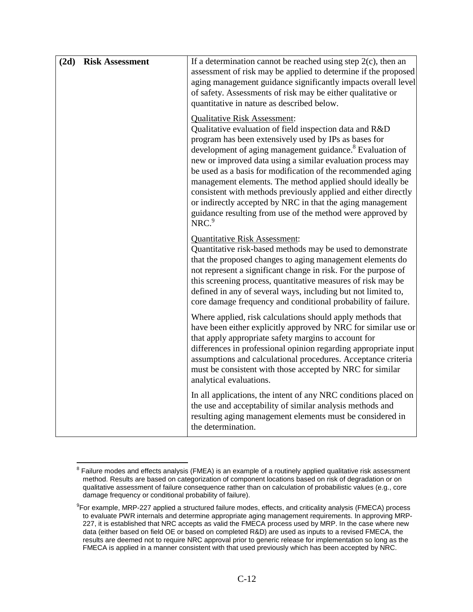| (2d) | <b>Risk Assessment</b> | If a determination cannot be reached using step $2(c)$ , then an<br>assessment of risk may be applied to determine if the proposed<br>aging management guidance significantly impacts overall level<br>of safety. Assessments of risk may be either qualitative or<br>quantitative in nature as described below.                                                                                                                                                                                                                                                                                                                               |
|------|------------------------|------------------------------------------------------------------------------------------------------------------------------------------------------------------------------------------------------------------------------------------------------------------------------------------------------------------------------------------------------------------------------------------------------------------------------------------------------------------------------------------------------------------------------------------------------------------------------------------------------------------------------------------------|
|      |                        | <b>Qualitative Risk Assessment:</b><br>Qualitative evaluation of field inspection data and R&D<br>program has been extensively used by IPs as bases for<br>development of aging management guidance. <sup>8</sup> Evaluation of<br>new or improved data using a similar evaluation process may<br>be used as a basis for modification of the recommended aging<br>management elements. The method applied should ideally be<br>consistent with methods previously applied and either directly<br>or indirectly accepted by NRC in that the aging management<br>guidance resulting from use of the method were approved by<br>NRC. <sup>9</sup> |
|      |                        | <b>Quantitative Risk Assessment:</b><br>Quantitative risk-based methods may be used to demonstrate<br>that the proposed changes to aging management elements do<br>not represent a significant change in risk. For the purpose of<br>this screening process, quantitative measures of risk may be<br>defined in any of several ways, including but not limited to,<br>core damage frequency and conditional probability of failure.                                                                                                                                                                                                            |
|      |                        | Where applied, risk calculations should apply methods that<br>have been either explicitly approved by NRC for similar use or<br>that apply appropriate safety margins to account for<br>differences in professional opinion regarding appropriate input<br>assumptions and calculational procedures. Acceptance criteria<br>must be consistent with those accepted by NRC for similar<br>analytical evaluations.                                                                                                                                                                                                                               |
|      |                        | In all applications, the intent of any NRC conditions placed on<br>the use and acceptability of similar analysis methods and<br>resulting aging management elements must be considered in<br>the determination.                                                                                                                                                                                                                                                                                                                                                                                                                                |

<sup>&</sup>lt;sup>8</sup> Failure modes and effects analysis (FMEA) is an example of a routinely applied qualitative risk assessment method. Results are based on categorization of component locations based on risk of degradation or on qualitative assessment of failure consequence rather than on calculation of probabilistic values (e.g., core damage frequency or conditional probability of failure).

 $^9$ For example, MRP-227 applied a structured failure modes, effects, and criticality analysis (FMECA) process to evaluate PWR internals and determine appropriate aging management requirements. In approving MRP-227, it is established that NRC accepts as valid the FMECA process used by MRP. In the case where new data (either based on field OE or based on completed R&D) are used as inputs to a revised FMECA, the results are deemed not to require NRC approval prior to generic release for implementation so long as the FMECA is applied in a manner consistent with that used previously which has been accepted by NRC.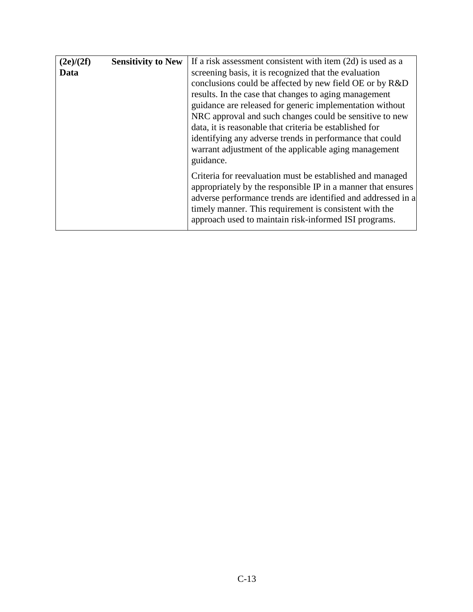| (2e)/(2f) | <b>Sensitivity to New</b> | If a risk assessment consistent with item $(2d)$ is used as a                                                                                                                                                                                                                                                |
|-----------|---------------------------|--------------------------------------------------------------------------------------------------------------------------------------------------------------------------------------------------------------------------------------------------------------------------------------------------------------|
| Data      |                           | screening basis, it is recognized that the evaluation                                                                                                                                                                                                                                                        |
|           |                           | conclusions could be affected by new field OE or by R&D                                                                                                                                                                                                                                                      |
|           |                           | results. In the case that changes to aging management                                                                                                                                                                                                                                                        |
|           |                           | guidance are released for generic implementation without                                                                                                                                                                                                                                                     |
|           |                           | NRC approval and such changes could be sensitive to new                                                                                                                                                                                                                                                      |
|           |                           | data, it is reasonable that criteria be established for                                                                                                                                                                                                                                                      |
|           |                           | identifying any adverse trends in performance that could                                                                                                                                                                                                                                                     |
|           |                           | warrant adjustment of the applicable aging management                                                                                                                                                                                                                                                        |
|           |                           | guidance.                                                                                                                                                                                                                                                                                                    |
|           |                           | Criteria for reevaluation must be established and managed<br>appropriately by the responsible IP in a manner that ensures<br>adverse performance trends are identified and addressed in a<br>timely manner. This requirement is consistent with the<br>approach used to maintain risk-informed ISI programs. |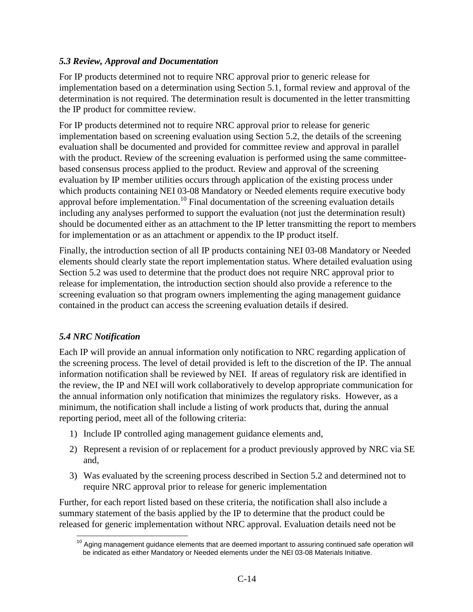#### *5.3 Review, Approval and Documentation*

For IP products determined not to require NRC approval prior to generic release for implementation based on a determination using Section 5.1, formal review and approval of the determination is not required. The determination result is documented in the letter transmitting the IP product for committee review.

For IP products determined not to require NRC approval prior to release for generic implementation based on screening evaluation using Section 5.2, the details of the screening evaluation shall be documented and provided for committee review and approval in parallel with the product. Review of the screening evaluation is performed using the same committeebased consensus process applied to the product. Review and approval of the screening evaluation by IP member utilities occurs through application of the existing process under which products containing NEI 03-08 Mandatory or Needed elements require executive body approval before implementation.<sup>10</sup> Final documentation of the screening evaluation details including any analyses performed to support the evaluation (not just the determination result) should be documented either as an attachment to the IP letter transmitting the report to members for implementation or as an attachment or appendix to the IP product itself.

Finally, the introduction section of all IP products containing NEI 03-08 Mandatory or Needed elements should clearly state the report implementation status. Where detailed evaluation using Section 5.2 was used to determine that the product does not require NRC approval prior to release for implementation, the introduction section should also provide a reference to the screening evaluation so that program owners implementing the aging management guidance contained in the product can access the screening evaluation details if desired.

#### *5.4 NRC Notification*

Each IP will provide an annual information only notification to NRC regarding application of the screening process. The level of detail provided is left to the discretion of the IP. The annual information notification shall be reviewed by NEI. If areas of regulatory risk are identified in the review, the IP and NEI will work collaboratively to develop appropriate communication for the annual information only notification that minimizes the regulatory risks. However, as a minimum, the notification shall include a listing of work products that, during the annual reporting period, meet all of the following criteria:

- 1) Include IP controlled aging management guidance elements and,
- 2) Represent a revision of or replacement for a product previously approved by NRC via SE and,
- 3) Was evaluated by the screening process described in Section 5.2 and determined not to require NRC approval prior to release for generic implementation

Further, for each report listed based on these criteria, the notification shall also include a summary statement of the basis applied by the IP to determine that the product could be released for generic implementation without NRC approval. Evaluation details need not be

<sup>&</sup>lt;sup>10</sup> Aging management guidance elements that are deemed important to assuring continued safe operation will be indicated as either Mandatory or Needed elements under the NEI 03-08 Materials Initiative.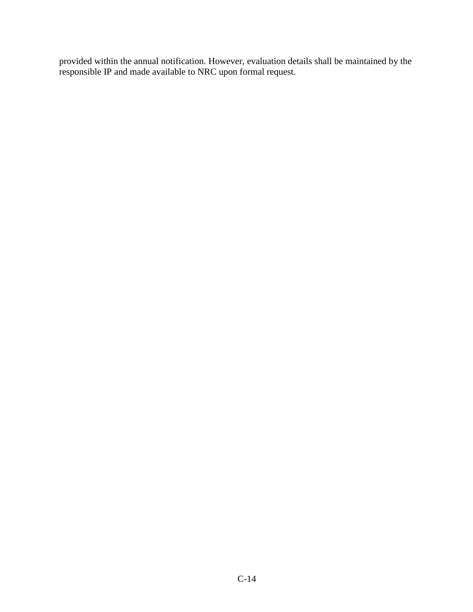provided within the annual notification. However, evaluation details shall be maintained by the responsible IP and made available to NRC upon formal request.